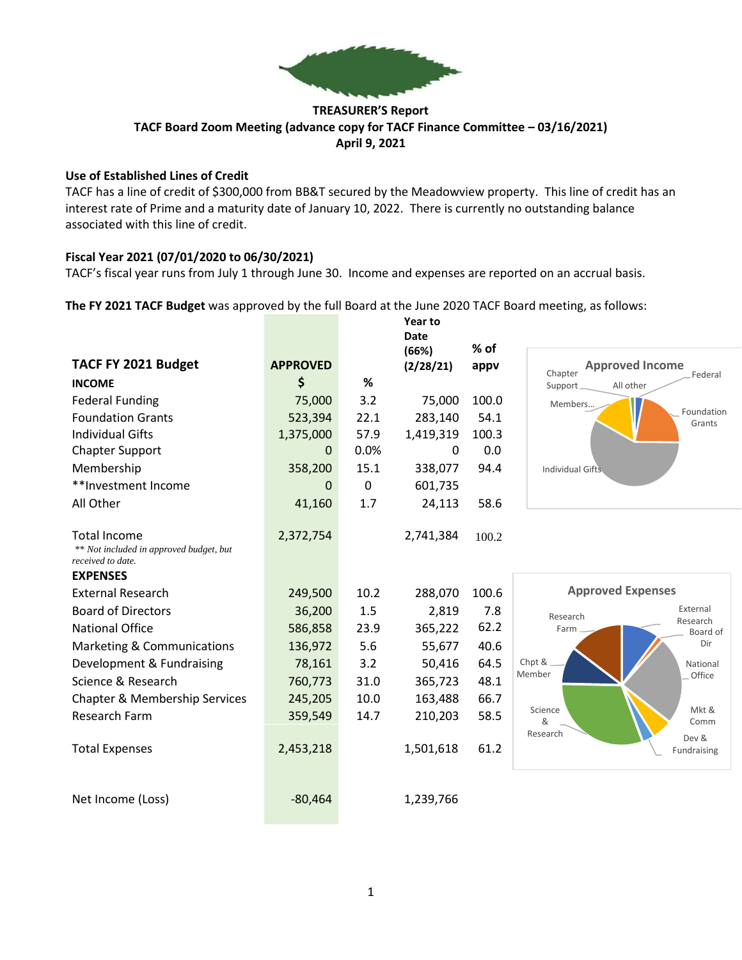

## **TREASURER'S Report TACF Board Zoom Meeting (advance copy for TACF Finance Committee – 03/16/2021) April 9, 2021**

#### **Use of Established Lines of Credit**

TACF has a line of credit of \$300,000 from BB&T secured by the Meadowview property. This line of credit has an interest rate of Prime and a maturity date of January 10, 2022. There is currently no outstanding balance associated with this line of credit.

## **Fiscal Year 2021 (07/01/2020 to 06/30/2021)**

TACF's fiscal year runs from July 1 through June 30. Income and expenses are reported on an accrual basis.

**The FY 2021 TACF Budget** was approved by the full Board at the June 2020 TACF Board meeting, as follows:

**Year to** 

|                                                              |                 |             | Date               | $%$ of |                                             |  |
|--------------------------------------------------------------|-----------------|-------------|--------------------|--------|---------------------------------------------|--|
| TACF FY 2021 Budget                                          | <b>APPROVED</b> |             | (66%)<br>(2/28/21) | appv   | <b>Approved Income</b>                      |  |
| <b>INCOME</b>                                                | \$              | %           |                    |        | Chapter<br>Federal<br>Support.<br>All other |  |
| <b>Federal Funding</b>                                       | 75,000          | 3.2         | 75,000             | 100.0  | Members                                     |  |
| <b>Foundation Grants</b>                                     | 523,394         | 22.1        | 283,140            | 54.1   | Foundation<br>Grants                        |  |
| <b>Individual Gifts</b>                                      | 1,375,000       | 57.9        | 1,419,319          | 100.3  |                                             |  |
| <b>Chapter Support</b>                                       | 0               | 0.0%        | $\Omega$           | 0.0    |                                             |  |
| Membership                                                   | 358,200         | 15.1        | 338,077            | 94.4   | <b>Individual Gifts</b>                     |  |
| **Investment Income                                          | 0               | $\mathbf 0$ | 601,735            |        |                                             |  |
| All Other                                                    | 41,160          | 1.7         | 24,113             | 58.6   |                                             |  |
|                                                              |                 |             |                    |        |                                             |  |
| <b>Total Income</b>                                          | 2,372,754       |             | 2,741,384          | 100.2  |                                             |  |
| ** Not included in approved budget, but<br>received to date. |                 |             |                    |        |                                             |  |
| <b>EXPENSES</b>                                              |                 |             |                    |        |                                             |  |
| <b>External Research</b>                                     | 249,500         | 10.2        | 288,070            | 100.6  | <b>Approved Expenses</b>                    |  |
| <b>Board of Directors</b>                                    | 36,200          | 1.5         | 2,819              | 7.8    | External<br>Research                        |  |
| <b>National Office</b>                                       | 586,858         | 23.9        | 365,222            | 62.2   | Research<br>Farm<br>Board of                |  |
| Marketing & Communications                                   | 136,972         | 5.6         | 55,677             | 40.6   | Dir                                         |  |
| Development & Fundraising                                    | 78,161          | 3.2         | 50,416             | 64.5   | Chpt &<br>National                          |  |
| Science & Research                                           | 760,773         | 31.0        | 365,723            | 48.1   | Member<br>Office                            |  |
| Chapter & Membership Services                                | 245,205         | 10.0        | 163,488            | 66.7   |                                             |  |
| <b>Research Farm</b>                                         | 359,549         | 14.7        | 210,203            | 58.5   | Science<br>Mkt &<br>&<br>Comm               |  |
|                                                              |                 |             |                    |        | Research<br>Dev &                           |  |
| <b>Total Expenses</b>                                        | 2,453,218       |             | 1,501,618          | 61.2   | Fundraising                                 |  |
|                                                              |                 |             |                    |        |                                             |  |
|                                                              |                 |             |                    |        |                                             |  |
| Net Income (Loss)                                            | $-80,464$       |             | 1,239,766          |        |                                             |  |
|                                                              |                 |             |                    |        |                                             |  |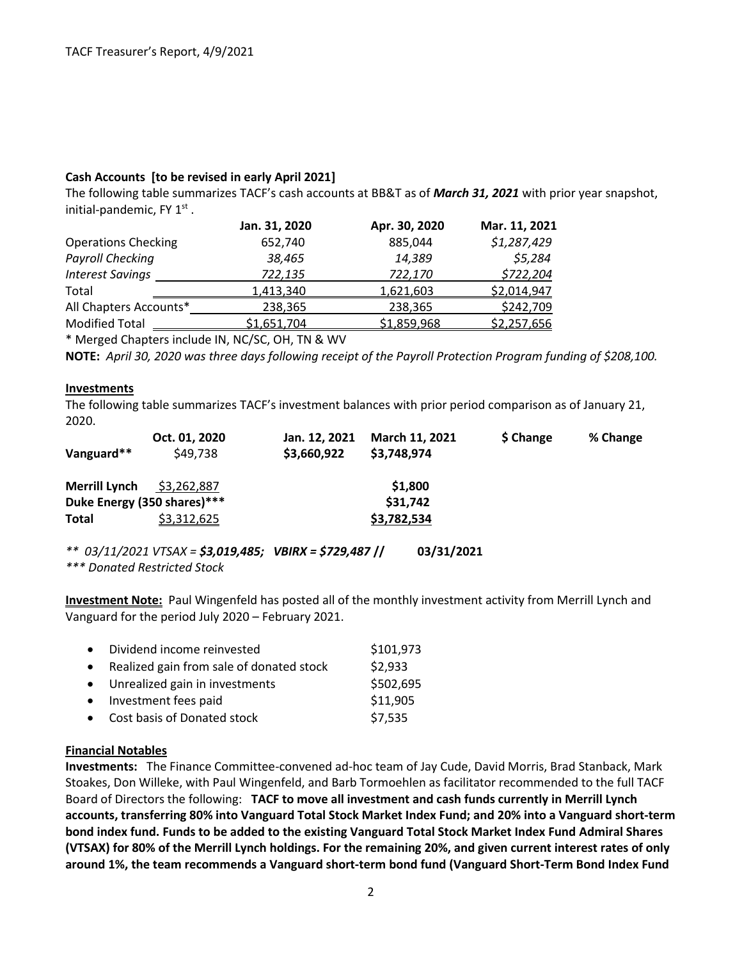## **Cash Accounts [to be revised in early April 2021]**

The following table summarizes TACF's cash accounts at BB&T as of *March 31, 2021* with prior year snapshot, initial-pandemic, FY  $1<sup>st</sup>$ .

|                            | Jan. 31, 2020    | Apr. 30, 2020 | Mar. 11, 2021 |
|----------------------------|------------------|---------------|---------------|
| <b>Operations Checking</b> | 652,740          | 885,044       | \$1,287,429   |
| <b>Payroll Checking</b>    | 38,465           | 14,389        | \$5,284       |
| <b>Interest Savings</b>    | 722,135          | 722,170       | \$722,204     |
| Total                      | <u>1,413,340</u> | 1,621,603     | \$2,014,947   |
| All Chapters Accounts*     | 238,365          | 238,365       | \$242,709     |
| <b>Modified Total</b>      | \$1,651,704      | \$1,859,968   | \$2,257,656   |
|                            |                  |               |               |

\* Merged Chapters include IN, NC/SC, OH, TN & WV

**NOTE:** *April 30, 2020 was three days following receipt of the Payroll Protection Program funding of \$208,100.*

#### **Investments**

The following table summarizes TACF's investment balances with prior period comparison as of January 21, 2020.

| Vanguard**                  | Oct. 01, 2020<br>\$49,738 | Jan. 12. 2021<br>\$3,660,922 | March 11, 2021<br>\$3,748,974 | \$ Change | % Change |
|-----------------------------|---------------------------|------------------------------|-------------------------------|-----------|----------|
|                             |                           |                              |                               |           |          |
| <b>Merrill Lynch</b>        | \$3,262,887               |                              | \$1,800                       |           |          |
| Duke Energy (350 shares)*** |                           |                              | \$31,742                      |           |          |
| <b>Total</b>                | \$3,312,625               |                              | \$3,782,534                   |           |          |
|                             |                           |                              |                               |           |          |

*\*\* 03/11/2021 VTSAX = \$3,019,485; VBIRX = \$729,487* **// 03/31/2021**  *\*\*\* Donated Restricted Stock*

**Investment Note:** Paul Wingenfeld has posted all of the monthly investment activity from Merrill Lynch and Vanguard for the period July 2020 – February 2021.

| • Dividend income reinvested               | \$101,973 |
|--------------------------------------------|-----------|
| • Realized gain from sale of donated stock | \$2,933   |
| • Unrealized gain in investments           | \$502,695 |
| • Investment fees paid                     | \$11,905  |
| • Cost basis of Donated stock              | \$7,535   |

## **Financial Notables**

**Investments:** The Finance Committee-convened ad-hoc team of Jay Cude, David Morris, Brad Stanback, Mark Stoakes, Don Willeke, with Paul Wingenfeld, and Barb Tormoehlen as facilitator recommended to the full TACF Board of Directors the following: **TACF to move all investment and cash funds currently in Merrill Lynch accounts, transferring 80% into Vanguard Total Stock Market Index Fund; and 20% into a Vanguard short-term bond index fund. Funds to be added to the existing Vanguard Total Stock Market Index Fund Admiral Shares (VTSAX) for 80% of the Merrill Lynch holdings. For the remaining 20%, and given current interest rates of only around 1%, the team recommends a Vanguard short-term bond fund (Vanguard Short-Term Bond Index Fund**